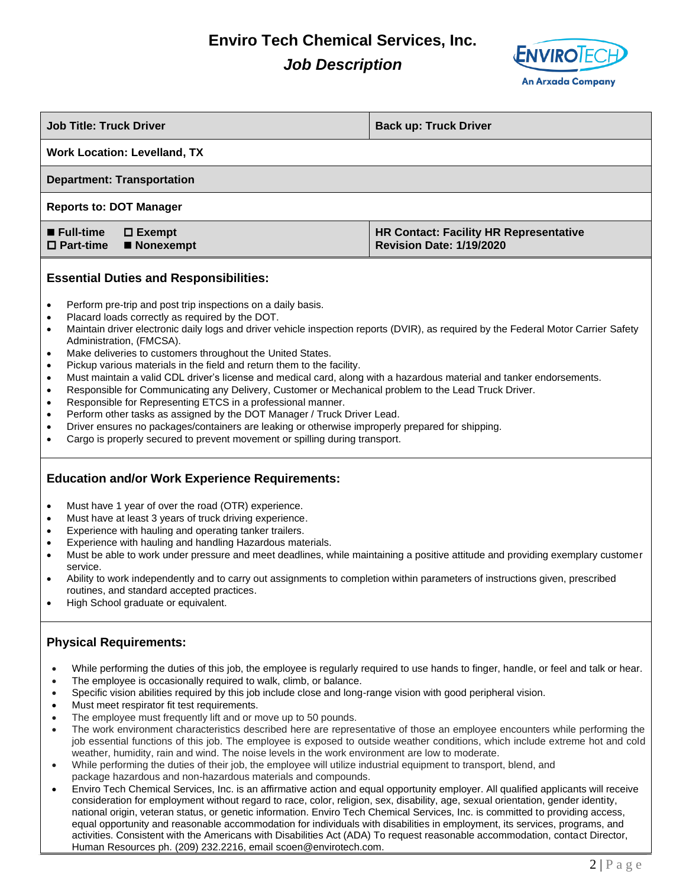## **Enviro Tech Chemical Services, Inc.** *Job Description*



| <b>Job Title: Truck Driver</b>                                                                                                                                                                                                                                                                                                                                                                                                                                                                                                                                                                                                                                                                                                                                                                                                                                                                                                                                                                                                                                                                          | <b>Back up: Truck Driver</b>                                                     |  |
|---------------------------------------------------------------------------------------------------------------------------------------------------------------------------------------------------------------------------------------------------------------------------------------------------------------------------------------------------------------------------------------------------------------------------------------------------------------------------------------------------------------------------------------------------------------------------------------------------------------------------------------------------------------------------------------------------------------------------------------------------------------------------------------------------------------------------------------------------------------------------------------------------------------------------------------------------------------------------------------------------------------------------------------------------------------------------------------------------------|----------------------------------------------------------------------------------|--|
| <b>Work Location: Levelland, TX</b>                                                                                                                                                                                                                                                                                                                                                                                                                                                                                                                                                                                                                                                                                                                                                                                                                                                                                                                                                                                                                                                                     |                                                                                  |  |
| <b>Department: Transportation</b>                                                                                                                                                                                                                                                                                                                                                                                                                                                                                                                                                                                                                                                                                                                                                                                                                                                                                                                                                                                                                                                                       |                                                                                  |  |
| <b>Reports to: DOT Manager</b>                                                                                                                                                                                                                                                                                                                                                                                                                                                                                                                                                                                                                                                                                                                                                                                                                                                                                                                                                                                                                                                                          |                                                                                  |  |
| ■ Full-time<br>$\square$ Exempt<br>$\Box$ Part-time<br>■ Nonexempt                                                                                                                                                                                                                                                                                                                                                                                                                                                                                                                                                                                                                                                                                                                                                                                                                                                                                                                                                                                                                                      | <b>HR Contact: Facility HR Representative</b><br><b>Revision Date: 1/19/2020</b> |  |
| <b>Essential Duties and Responsibilities:</b>                                                                                                                                                                                                                                                                                                                                                                                                                                                                                                                                                                                                                                                                                                                                                                                                                                                                                                                                                                                                                                                           |                                                                                  |  |
| Perform pre-trip and post trip inspections on a daily basis.<br>$\bullet$<br>Placard loads correctly as required by the DOT.<br>$\bullet$<br>Maintain driver electronic daily logs and driver vehicle inspection reports (DVIR), as required by the Federal Motor Carrier Safety<br>٠<br>Administration, (FMCSA).<br>Make deliveries to customers throughout the United States.<br>٠<br>Pickup various materials in the field and return them to the facility.<br>$\bullet$<br>Must maintain a valid CDL driver's license and medical card, along with a hazardous material and tanker endorsements.<br>$\bullet$<br>Responsible for Communicating any Delivery, Customer or Mechanical problem to the Lead Truck Driver.<br>$\bullet$<br>Responsible for Representing ETCS in a professional manner.<br>٠<br>Perform other tasks as assigned by the DOT Manager / Truck Driver Lead.<br>٠<br>Driver ensures no packages/containers are leaking or otherwise improperly prepared for shipping.<br>$\bullet$<br>Cargo is properly secured to prevent movement or spilling during transport.<br>$\bullet$ |                                                                                  |  |
| <b>Education and/or Work Experience Requirements:</b>                                                                                                                                                                                                                                                                                                                                                                                                                                                                                                                                                                                                                                                                                                                                                                                                                                                                                                                                                                                                                                                   |                                                                                  |  |
| Must have 1 year of over the road (OTR) experience.<br>$\bullet$<br>Must have at least 3 years of truck driving experience.<br>$\bullet$<br>Experience with hauling and operating tanker trailers.<br>$\bullet$<br>Experience with hauling and handling Hazardous materials.<br>$\bullet$<br>Must be able to work under pressure and meet deadlines, while maintaining a positive attitude and providing exemplary customer<br>$\bullet$<br>service.<br>Ability to work independently and to carry out assignments to completion within parameters of instructions given, prescribed<br>$\bullet$<br>routines, and standard accepted practices.<br>High School graduate or equivalent.<br>$\bullet$                                                                                                                                                                                                                                                                                                                                                                                                     |                                                                                  |  |
| <b>Physical Requirements:</b>                                                                                                                                                                                                                                                                                                                                                                                                                                                                                                                                                                                                                                                                                                                                                                                                                                                                                                                                                                                                                                                                           |                                                                                  |  |
| While performing the duties of this job, the employee is regularly required to use hands to finger, handle, or feel and talk or hear.<br>The employee is occasionally required to walk, climb, or balance.<br>Specific vision abilities required by this job include close and long-range vision with good peripheral vision.<br>$\bullet$<br>Must meet respirator fit test requirements.<br>The employee must frequently lift and or move up to 50 pounds.<br>The work environment characteristics described here are representative of those an employee encounters while performing the<br>job essential functions of this job. The employee is exposed to outside weather conditions, which include extreme hot and cold                                                                                                                                                                                                                                                                                                                                                                            |                                                                                  |  |

- weather, humidity, rain and wind. The noise levels in the work environment are low to moderate. • While performing the duties of their job, the employee will utilize industrial equipment to transport, blend, and package hazardous and non-hazardous materials and compounds.
- Enviro Tech Chemical Services, Inc. is an affirmative action and equal opportunity employer. All qualified applicants will receive consideration for employment without regard to race, color, religion, sex, disability, age, sexual orientation, gender identity, national origin, veteran status, or genetic information. Enviro Tech Chemical Services, Inc. is committed to providing access, equal opportunity and reasonable accommodation for individuals with disabilities in employment, its services, programs, and activities. Consistent with the Americans with Disabilities Act (ADA) To request reasonable accommodation, contact Director, Human Resources ph. (209) 232.2216, email [scoen@envirotech.com.](about:blank)